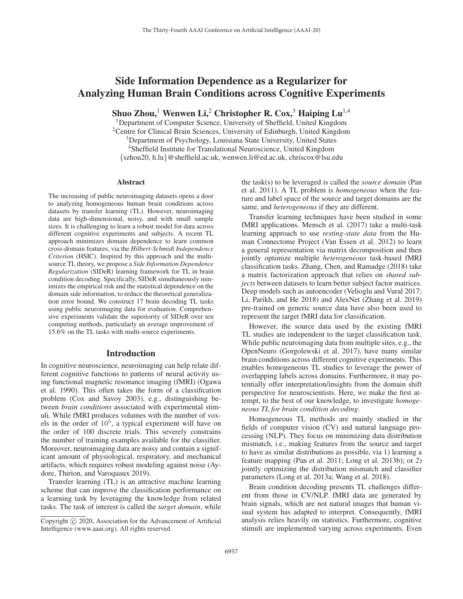# Side Information Dependence as a Regularizer for Analyzing Human Brain Conditions across Cognitive Experiments

Shuo Zhou,<sup>1</sup> Wenwen Li,<sup>2</sup> Christopher R. Cox,<sup>3</sup> Haiping Lu<sup>1,4</sup>

<sup>1</sup>Department of Computer Science, University of Sheffield, United Kingdom <sup>2</sup>Centre for Clinical Brain Sciences, University of Edinburgh, United Kingdom <sup>3</sup>Department of Psychology, Louisiana State University, United States 4Sheffield Institute for Translational Neuroscience, United Kingdom {szhou20, h.lu}@sheffield.ac.uk, wenwen.li@ed.ac.uk, chriscox@lsu.edu

## Abstract

The increasing of public neuroimaging datasets opens a door to analyzing homogeneous human brain conditions across datasets by transfer learning (TL). However, neuroimaging data are high-dimensional, noisy, and with small sample sizes. It is challenging to learn a robust model for data across different cognitive experiments and subjects. A recent TL approach minimizes domain dependence to learn common cross-domain features, via the *Hilbert-Schmidt Independence Criterion* (HSIC). Inspired by this approach and the multisource TL theory, we propose a *Side Information Dependence Regularization* (SIDeR) learning framework for TL in brain condition decoding. Specifically, SIDeR simultaneously minimizes the empirical risk and the statistical dependence on the domain side information, to reduce the theoretical generalization error bound. We construct 17 brain decoding TL tasks using public neuroimaging data for evaluation. Comprehensive experiments validate the superiority of SIDeR over ten competing methods, particularly an average improvement of 15.6% on the TL tasks with multi-source experiments.

## Introduction

In cognitive neuroscience, neuroimaging can help relate different cognitive functions to patterns of neural activity using functional magnetic resonance imaging (fMRI) (Ogawa et al. 1990). This often takes the form of a classification problem (Cox and Savoy 2003), e.g., distinguishing between *brain conditions* associated with experimental stimuli. While fMRI produces volumes with the number of voxels in the order of  $10^5$ , a typical experiment will have on the order of 100 discrete trials. This severely constrains the number of training examples available for the classifier. Moreover, neuroimaging data are noisy and contain a significant amount of physiological, respiratory, and mechanical artifacts, which requires robust modeling against noise (Aydore, Thirion, and Varoquaux 2019).

Transfer learning (TL) is an attractive machine learning scheme that can improve the classification performance on a learning task by leveraging the knowledge from related tasks. The task of interest is called the *target domain*, while

the task(s) to be leveraged is called the *source domain* (Pan et al. 2011). A TL problem is *homogeneous* when the feature and label space of the source and target domains are the same, and *heterogeneous* if they are different.

Transfer learning techniques have been studied in some fMRI applications. Mensch et al. (2017) take a multi-task learning approach to use *resting-state data* from the Human Connectome Project (Van Essen et al. 2012) to learn a general representation via matrix decomposition and then jointly optimize multiple *heterogeneous* task-based fMRI classification tasks. Zhang, Chen, and Ramadge (2018) take a matrix factorization approach that relies on *shared subjects* between datasets to learn better subject factor matrices. Deep models such as autoencoder (Velioglu and Vural 2017; Li, Parikh, and He 2018) and AlexNet (Zhang et al. 2019) pre-trained on generic source data have also been used to represent the target fMRI data for classification.

However, the source data used by the existing fMRI TL studies are independent to the target classification task. While public neuroimaging data from multiple sites, e.g., the OpenNeuro (Gorgolewski et al. 2017), have many similar brain conditions across different cognitive experiments. This enables homogeneous TL studies to leverage the power of overlapping labels across domains. Furthermore, it may potentially offer interpretation/insights from the domain shift perspective for neuroscientists. Here, we make the first attempt, to the best of our knowledge, to investigate *homogeneous TL for brain condition decoding*.

Homogeneous TL methods are mainly studied in the fields of computer vision (CV) and natural language processing (NLP). They focus on minimizing data distribution mismatch, i.e., making features from the source and target to have as similar distributions as possible, via 1) learning a feature mapping (Pan et al. 2011; Long et al. 2013b); or 2) jointly optimizing the distribution mismatch and classifier parameters (Long et al. 2013a; Wang et al. 2018).

Brain condition decoding presents TL challenges different from those in CV/NLP. fMRI data are generated by brain signals, which are not natural images that human visual system has adapted to interpret. Consequently, fMRI analysis relies heavily on statistics. Furthermore, cognitive stimuli are implemented varying across experiments. Even

Copyright  $\odot$  2020, Association for the Advancement of Artificial Intelligence (www.aaai.org). All rights reserved.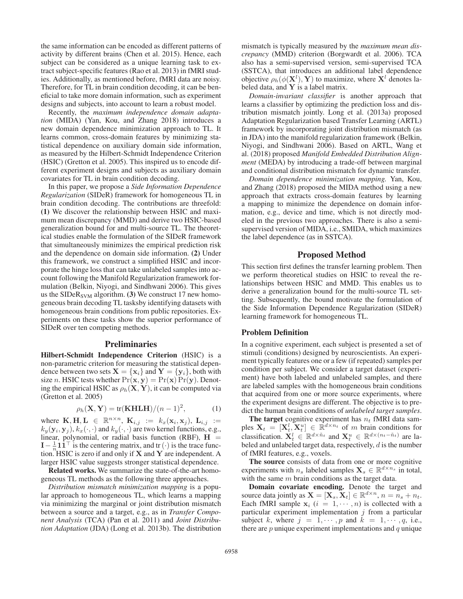the same information can be encoded as different patterns of activity by different brains (Chen et al. 2015). Hence, each subject can be considered as a unique learning task to extract subject-specific features (Rao et al. 2013) in fMRI studies. Additionally, as mentioned before, fMRI data are noisy. Therefore, for TL in brain condition decoding, it can be beneficial to take more domain information, such as experiment designs and subjects, into account to learn a robust model.

Recently, the *maximum independence domain adaptation* (MIDA) (Yan, Kou, and Zhang 2018) introduces a new domain dependence minimization approach to TL. It learns common, cross-domain features by minimizing statistical dependence on auxiliary domain side information, as measured by the Hilbert-Schmidt Independence Criterion (HSIC) (Gretton et al. 2005). This inspired us to encode different experiment designs and subjects as auxiliary domain covariates for TL in brain condition decoding.

In this paper, we propose a *Side Information Dependence Regularization* (SIDeR) framework for homogeneous TL in brain condition decoding. The contributions are threefold: (1) We discover the relationship between HSIC and maximum mean discrepancy (MMD) and derive two HSIC-based generalization bound for and multi-source TL. The theoretical studies enable the formulation of the SIDeR framework that simultaneously minimizes the empirical prediction risk and the dependence on domain side information. (2) Under this framework, we construct a simplified HSIC and incorporate the hinge loss that can take unlabeled samples into account following the Manifold Regularization framework formulation (Belkin, Niyogi, and Sindhwani 2006). This gives us the SIDe $R_{\text{SVM}}$  algorithm. (3) We construct 17 new homogeneous brain decoding TL tasksby identifying datasets with homogeneous brain conditions from public repositories. Experiments on these tasks show the superior performance of SIDeR over ten competing methods.

## Preliminaries

Hilbert-Schmidt Independence Criterion (HSIC) is a non-parametric criterion for measuring the statistical dependence between two sets  $X = \{x_i\}$  and  $Y = \{y_i\}$ , both with size *n*. HSIC tests whether  $Pr(\mathbf{x}, \mathbf{y}) = Pr(\mathbf{x}) Pr(\mathbf{y})$ . Denoting the empirical HSIC as  $\rho_h(\mathbf{X}, \mathbf{Y})$ , it can be computed via (Gretton et al. 2005)

$$
\rho_h(\mathbf{X}, \mathbf{Y}) = \text{tr}(\mathbf{KHLH})/(n-1)^2,
$$
\n(1)

where  $\mathbf{K}, \mathbf{H}, \mathbf{L} \in \mathbb{R}^{n \times n}$ ,  $\mathbf{K}_{i,j} := k_x(\mathbf{x}_i, \mathbf{x}_j)$ ,  $\mathbf{L}_{i,j} := k_y(\mathbf{y}_i, \mathbf{y}_j)$ ,  $k_z(\cdot, \cdot)$  and  $k_y(\cdot, \cdot)$  are two kernel functions e.g.  $k_y(\mathbf{y}_i, \mathbf{y}_j), k_x(\cdot, \cdot)$  and  $k_y(\cdot, \cdot)$  are two kernel functions, e.g.,<br>linear, polynomial, or radial basis function (RBF)  $\mathbf{H} =$ linear, polynomial, or radial basis function (RBF),  $H =$  $I - \frac{1}{n} \mathbf{1} \mathbf{1}^\top$  is the centering matrix, and tr(·) is the trace function. HSIC is zero if and only if **X** and **Y** are independent A tion. HSIC is zero if and only if **X** and **Y** are independent. A larger HSIC value suggests stronger statistical dependence.

Related works. We summarize the state-of-the-art homogeneous TL methods as the following three approaches.

*Distribution mismatch minimization mapping* is a popular approach to homogeneous TL, which learns a mapping via minimizing the marginal or joint distribution mismatch between a source and a target, e.g., as in *Transfer Component Analysis* (TCA) (Pan et al. 2011) and *Joint Distribution Adaptation* (JDA) (Long et al. 2013b). The distribution

mismatch is typically measured by the *maximum mean discrepancy* (MMD) criterion (Borgwardt et al. 2006). TCA also has a semi-supervised version, semi-supervised TCA (SSTCA), that introduces an additional label dependence objective  $\rho_h(\phi(\mathbf{X}^l), \mathbf{Y})$  to maximize, where  $\mathbf{X}^l$  denotes labeled data and **Y** is a label matrix beled data, and **Y** is a label matrix.

*Domain-invariant classifier* is another approach that learns a classifier by optimizing the prediction loss and distribution mismatch jointly. Long et al. (2013a) proposed Adaptation Regularization based Transfer Learning (ARTL) framework by incorporating joint distribution mismatch (as in JDA) into the manifold regularization framework (Belkin, Niyogi, and Sindhwani 2006). Based on ARTL, Wang et al. (2018) proposed *Manifold Embedded Distribution Alignment* (MEDA) by introducing a trade-off between marginal and conditional distribution mismatch for dynamic transfer.

*Domain dependence minimization mapping.* Yan, Kou, and Zhang (2018) proposed the MIDA method using a new approach that extracts cross-domain features by learning a mapping to minimize the dependence on domain information, e.g., device and time, which is not directly modeled in the previous two approaches. There is also a semisupervised version of MIDA, i.e., SMIDA, which maximizes the label dependence (as in SSTCA).

## Proposed Method

This section first defines the transfer learning problem. Then we perform theoretical studies on HSIC to reveal the relationships between HSIC and MMD. This enables us to derive a generalization bound for the multi-source TL setting. Subsequently, the bound motivate the formulation of the Side Information Dependence Regularization (SIDeR) learning framework for homogeneous TL.

## Problem Definition

In a cognitive experiment, each subject is presented a set of stimuli (conditions) designed by neuroscientists. An experiment typically features one or a few (if repeated) samples per condition per subject. We consider a target dataset (experiment) have both labeled and unlabeled samples, and there are labeled samples with the homogeneous brain conditions that acquired from one or more source experiments, where the experiment designs are different. The objective is to predict the human brain conditions of *unlabeled target samples*.

The target cognitive experiment has  $n_t$  fMRI data samples  $\mathbf{X}_t = [\mathbf{X}_t^l, \mathbf{X}_t^u] \in \mathbb{R}^{d \times n_t}$  of m brain conditions for classification.  $\mathbf{X}_t^l \in \mathbb{R}^{d \times \tilde{n}_t}$  and  $\mathbf{X}_t^u \in \mathbb{R}^{d \times (n_t - \tilde{n}_t)}$  are labeled and unlabeled target data, respectively, d is the number of fMRI features, e.g., voxels.

The source consists of data from one or more cognitive experiments with  $n_s$  labeled samples  $\mathbf{X}_s \in \mathbb{R}^{d \times n_s}$  in total, with the same  $m$  brain conditions as the target data.

Domain covariate encoding. Denote the target and source data jointly as  $\mathbf{X} = [\mathbf{X}_s, \mathbf{X}_t] \in \mathbb{R}^{d \times n}$ ,  $n = n_s + n_t$ . Each fMRI sample  $x_i$  ( $i = 1, \dots, n$ ) is collected with a particular experiment implementation  $j$  from a particular subject k, where  $j = 1, \dots, p$  and  $k = 1, \dots, q$ , i.e., there are  $p$  unique experiment implementations and  $q$  unique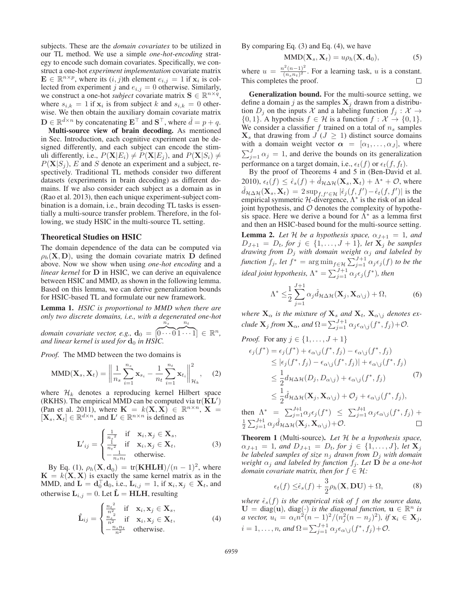subjects. These are the *domain covariates* to be utilized in our TL method. We use a simple *one-hot-encoding* strategy to encode such domain covariates. Specifically, we construct a one-hot *experiment implementation* covariate matrix  $\mathbf{E} \in \mathbb{R}^{n \times p}$ , where its  $(i, j)$ th element  $e_{i,j} = 1$  if  $\mathbf{x}_i$  is collected from experiment j and  $e_{i,j} = 0$  otherwise. Similarly, we construct a one-hot *subject* covariate matrix  $\mathbf{S} \in \mathbb{R}^{n \times q}$ , where  $s_{i,k} = 1$  if  $\mathbf{x}_i$  is from subject k and  $s_{i,k} = 0$  otherwise. We then obtain the auxiliary domain covariate matrix  $\mathbf{D} \in \mathbb{R}^{\hat{d} \times n}$  by concatenating  $\mathbf{E}^{\top}$  and  $\mathbf{S}^{\top}$ , where  $\hat{d} = p + q$ .<br> **Multi-source view of brain decoding.** As mentioned

Multi-source view of brain decoding. As mentioned in Sec. Introduction, each cognitive experiment can be designed differently, and each subject can encode the stimuli differently, i.e.,  $P(X|E_i) \neq P(X|E_j)$ , and  $P(X|S_i) \neq$  $P(X|S_i)$ , E and S denote an experiment and a subject, respectively. Traditional TL methods consider two different datasets (experiments in brain decoding) as different domains. If we also consider each subject as a domain as in (Rao et al. 2013), then each unique experiment-subject combination is a domain, i.e., brain decoding TL tasks is essentially a multi-source transfer problem. Therefore, in the following, we study HSIC in the multi-source TL setting.

## Theoretical Studies on HSIC

The domain dependence of the data can be computed via  $\rho_h(\mathbf{X}, \mathbf{D})$ , using the domain covariate matrix **D** defined above. Now we show when using *one-hot encoding* and a *linear kernel* for **D** in HSIC, we can derive an equivalence between HSIC and MMD, as shown in the following lemma. Based on this lemma, we can derive generalization bounds for HSIC-based TL and formulate our new framework.

Lemma 1. *HSIC is proportional to MMD when there are only two discrete domains, i.e., with a degenerated one-hot*  $n_s$  $n_t$ 

*domain covariate vector, e.g.,*  $\mathbf{d}_0 = \begin{bmatrix} d & d \\ d & d \end{bmatrix}$  *and linear kernel is used for*  $\mathbf{d}_0$  *in HSI*  $\overbrace{C}$  $\widehat{1\cdots 1} \in \mathbb{R}^n$ , *and linear kernel is used for*  $\mathbf{d}_0$  *in HSIC.* 

*Proof.* The MMD between the two domains is

MMD(
$$
\mathbf{X}_s, \mathbf{X}_t
$$
) =  $\left\| \frac{1}{n_s} \sum_{i=1}^{n_s} \mathbf{x}_{s_i} - \frac{1}{n_t} \sum_{i=1}^{n_t} \mathbf{x}_{t_i} \right\|_{\mathcal{H}_k}^2$ , (2)

where  $\mathcal{H}_k$  denotes a reproducing kernel Hilbert space (RKHS). The empirical MMD can be computed via  $tr(KL')$ ) (Pan et al. 2011), where  $\mathbf{K} = k(\mathbf{X}, \mathbf{X}) \in \mathbb{R}^{n \times n}$ ,  $\mathbf{X} = [\mathbf{X}, \mathbf{X}] \in \mathbb{R}^{d \times n}$  and  $\mathbf{I}' \in \mathbb{R}^{n \times n}$  is defined as  $[\mathbf{X}_s, \mathbf{X}_t] \in \mathbb{R}^{d \times n}$ , and  $\mathbf{L}' \in \mathbb{R}^{n \times n}$  is defined as

$$
\mathbf{L'}_{ij} = \begin{cases} \frac{1}{n_s^2} & \text{if } \mathbf{x}_i, \mathbf{x}_j \in \mathbf{X}_s, \\ \frac{1}{n_t^2} & \text{if } \mathbf{x}_i, \mathbf{x}_j \in \mathbf{X}_t, \\ -\frac{1}{n_s n_t} & \text{otherwise.} \end{cases}
$$
(3)

By Eq. (1),  $\rho_h(\mathbf{X}, \mathbf{d}_0) = \text{tr}(\mathbf{KHLH})/(n-1)^2$ , where  $\mathbf{K} = k(\mathbf{X}, \mathbf{X})$  is exactly the same kernel matrix as in the MMD, and  $\mathbf{L} = \mathbf{d}_0^{\top} \mathbf{d}_0$ , i.e.,  $\mathbf{L}_{i,j} = 1$ , if  $\mathbf{x}_i, \mathbf{x}_j \in \mathbf{X}_t$ , and attenuing  $\mathbf{L} = 0$ . Let  $\hat{\mathbf{L}} = \mathbf{H} \mathbf{H} \mathbf{H}$  requiring otherwise  $\mathbf{L}_{i,j} = 0$ . Let  $\hat{\mathbf{L}} = \mathbf{H}\mathbf{L}\mathbf{H}$ , resulting

$$
\hat{\mathbf{L}}_{ij} = \begin{cases}\n\frac{n_t^2}{n^2} & \text{if } \mathbf{x}_i, \mathbf{x}_j \in \mathbf{X}_s, \\
\frac{n_s^2}{n^2} & \text{if } \mathbf{x}_i, \mathbf{x}_j \in \mathbf{X}_t, \\
-\frac{n_s n_t}{n^2} & \text{otherwise.} \n\end{cases}
$$
\n(4)

By comparing Eq. (3) and Eq. (4), we have

$$
MMD(\mathbf{X}_s, \mathbf{X}_t) = u\rho_h(\mathbf{X}, \mathbf{d}_0),
$$
\n(5)

where  $u = \frac{n^2(n-1)^2}{(n_s n_t)^2}$ . For a learning task, u is a constant. This completes the proof.

Generalization bound. For the multi-source setting, we define a domain j as the samples  $X_j$  drawn from a distribution  $D_i$  on the inputs X and a labeling function  $f_i : \mathcal{X} \to$  $\{0, 1\}$ . A hypothesis  $f \in \mathcal{H}$  is a function  $f : \mathcal{X} \to \{0, 1\}$ . We consider a classifier f trained on a total of  $n_s$  samples  $\mathbf{X}_s$  that drawing from  $J$  ( $J \geq 1$ ) distinct source domains with a domain weight vector  $\alpha = [\alpha_1, \dots, \alpha_J]$ , where  $\sum_{j=1}^{J} \alpha_j = 1$ , and derive the bounds on its generalization performance on a target domain, i.e.,  $\epsilon_t(f)$  or  $\epsilon_t(f, f_t)$ .

By the proof of Theorems 4 and 5 in (Ben-David et al. 2010),  $\epsilon_t(f) \leq \hat{\epsilon}_s(f) + \hat{d}_{\mathcal{H}\Delta\mathcal{H}}(\mathbf{X}_s, \mathbf{X}_t) + \Lambda^* + \mathcal{O}$ , where  $\hat{d}_{\mathcal{H}\Delta\mathcal{H}}(\mathbf{X}_s, \mathbf{X}_t) = 2 \sup_{f, f' \in \mathcal{H}} |\hat{\epsilon}_j(f, f') - \hat{\epsilon}_t(f, f')|$  is the environal symmetric H-divergence  $\Lambda^*$  is the risk of an ideal empirical symmetric  $H$ -divergence,  $Λ$ <sup>\*</sup> is the risk of an ideal joint hypothesis, and  $O$  denotes the complexity of hypothesis space. Here we derive a bound for  $\Lambda^*$  as a lemma first and then an HSIC-based bound for the multi-source setting.

**Lemma 2.** Let H be a hypothesis space,  $\alpha_{J+1} = 1$ , and  $D_{J+1} = D_t$ , for  $j \in \{1, ..., J+1\}$ , let  $X_j$  be samples *drawing from*  $D_j$  *with domain weight*  $\alpha_j$  *and labeled by function*  $f_j$ , let  $f^* = \arg \min_{f \in \mathcal{H}} \sum_{j=1}^{J+1} \alpha_j \epsilon_j(f)$  to be the *ideal joint hypothesis,*  $\Lambda^* = \sum_{j=1}^{J+1} \alpha_j \epsilon_j(f^*)$ *, then* 

$$
\Lambda^* \leq \frac{1}{2} \sum_{j=1}^{J+1} \alpha_j \hat{d}_{\mathcal{H}\Delta\mathcal{H}}(\mathbf{X}_j, \mathbf{X}_{\alpha\backslash j}) + \Omega, \tag{6}
$$

*where*  $\mathbf{X}_{\alpha}$  *is the mixture of*  $\mathbf{X}_{s}$  *and*  $\mathbf{X}_{t}$ *,*  $\mathbf{X}_{\alpha \setminus j}$  *denotes exclude*  $\mathbf{X}_j$  *from*  $\mathbf{X}_{\alpha}$ *, and*  $\Omega = \sum_{j=1}^{J+1} \alpha_j \epsilon_{\alpha \setminus j} (f^*, f_j) + \mathcal{O}.$ 

Proof. For any 
$$
j \in \{1, ..., J + 1\}
$$
  
\n
$$
\epsilon_j(f^*) = \epsilon_j(f^*) + \epsilon_{\alpha\backslash j}(f^*, f_j) - \epsilon_{\alpha\backslash j}(f^*, f_j)
$$
\n
$$
\leq |\epsilon_j(f^*, f_j) - \epsilon_{\alpha\backslash j}(f^*, f_j)| + \epsilon_{\alpha\backslash j}(f^*, f_j)
$$
\n
$$
\leq \frac{1}{2}d_{\mathcal{H}\Delta\mathcal{H}}(D_j, D_{\alpha\backslash j}) + \epsilon_{\alpha\backslash j}(f^*, f_j)
$$
\n
$$
\leq \frac{1}{2}\hat{d}_{\mathcal{H}\Delta\mathcal{H}}(\mathbf{X}_j, \mathbf{X}_{\alpha\backslash j}) + \mathcal{O}_j + \epsilon_{\alpha\backslash j}(f^*, f_j),
$$
\n(7)

then 
$$
\Lambda^* = \sum_{j=1}^{J+1} \alpha_j \epsilon_j(f^*) \leq \sum_{j=1}^{J+1} \alpha_j \epsilon_{\alpha \setminus j}(f^*, f_j) + \frac{1}{2} \sum_{j=1}^{J+1} \alpha_j \hat{d}_{\mathcal{H} \Delta \mathcal{H}}(\mathbf{X}_j, \mathbf{X}_{\alpha \setminus j}) + \mathcal{O}.
$$

Theorem 1 (Multi-source). *Let* H *be a hypothesis space,*  $\alpha_{J+1} = 1$ *, and*  $D_{J+1} = D_t$ *, for*  $j \in \{1, ..., J\}$ *, let*  $X_j$ *be labeled samples of size*  $n_i$  *drawn from*  $D_i$  *with domain weight*  $\alpha_j$  *and labeled by function*  $f_j$ *. Let*  $\overline{\mathbf{D}}$  *be a one-hot domain covariate matrix, then for*  $f \in \mathcal{H}$ *:* 

$$
\epsilon_t(f) \leq \hat{\epsilon}_s(f) + \frac{3}{2}\rho_h(\mathbf{X}, \mathbf{DU}) + \Omega,\tag{8}
$$

where  $\hat{\epsilon}_s(f)$  is the empirical risk of f on the source data,<br> $\mathbf{U} = \text{diag}(\mathbf{u})$  diag(.) is the diagonal function  $\mathbf{u} \in \mathbb{R}^n$  is  $U = \text{diag}(\mathbf{u})$ ,  $\text{diag}(\cdot)$  *is the diagonal function*,  $\mathbf{u} \in \mathbb{R}^n$  *is a* vector,  $u_i = \alpha_i n^2 (n-1)^2 / (n_j^2 (n-n_j)^2)$ , if  $\mathbf{x}_i \in \mathbf{X}_j$ ,  $i = 1, \ldots, n$ , and  $\Omega = \sum_{j=1}^{J+1} \alpha_j \epsilon_{\alpha \setminus j} (f^*, f_j) + \mathcal{O}.$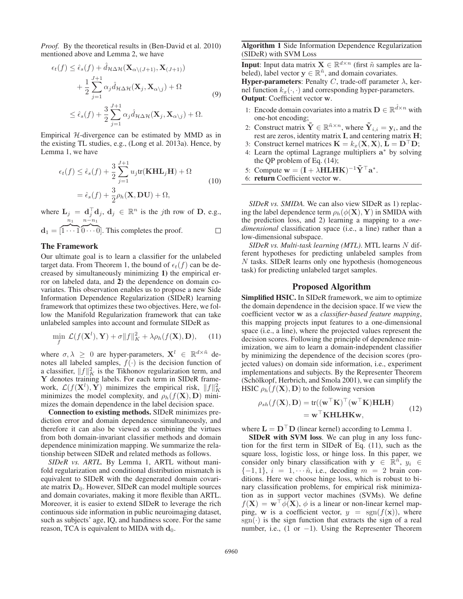*Proof.* By the theoretical results in (Ben-David et al. 2010) mentioned above and Lemma 2, we have

$$
\epsilon_t(f) \leq \hat{\epsilon}_s(f) + \hat{d}_{\mathcal{H}\Delta\mathcal{H}}(\mathbf{X}_{\alpha\setminus (J+1)}, \mathbf{X}_{(J+1)}) + \frac{1}{2} \sum_{j=1}^{J+1} \alpha_j \hat{d}_{\mathcal{H}\Delta\mathcal{H}}(\mathbf{X}_j, \mathbf{X}_{\alpha\setminus j}) + \Omega \leq \hat{\epsilon}_s(f) + \frac{3}{2} \sum_{j=1}^{J+1} \alpha_j \hat{d}_{\mathcal{H}\Delta\mathcal{H}}(\mathbf{X}_j, \mathbf{X}_{\alpha\setminus j}) + \Omega.
$$
\n(9)

Empirical  $H$ -divergence can be estimated by MMD as in the existing TL studies, e.g., (Long et al. 2013a). Hence, by Lemma 1, we have

$$
\epsilon_t(f) \le \hat{\epsilon}_s(f) + \frac{3}{2} \sum_{j=1}^{J+1} u_j \text{tr}(\mathbf{KHL}_j \mathbf{H}) + \Omega
$$
  
=  $\hat{\epsilon}_s(f) + \frac{3}{2} \rho_h(\mathbf{X}, \mathbf{DU}) + \Omega,$  (10)

where  $\mathbf{L}_j = \mathbf{d}_j^{\top} \mathbf{d}_j$ ,  $\mathbf{d}_j \in \mathbb{R}^n$  is the *j*th row of **D**, e.g.,  $n_1$   $n-n_1$ 

$$
\mathbf{d}_1 = [\overbrace{1 \cdots 1} \overbrace{0 \cdots 0}].
$$
 This completes the proof.

## The Framework

Our ultimate goal is to learn a classifier for the unlabeled target data. From Theorem 1, the bound of  $\epsilon_t(f)$  can be decreased by simultaneously minimizing 1) the empirical error on labeled data, and 2) the dependence on domain covariates. This observation enables us to propose a new Side Information Dependence Regularization (SIDeR) learning framework that optimizes these two objectives. Here, we follow the Manifold Regularization framework that can take unlabeled samples into account and formulate SIDeR as

$$
\min_{f} \mathcal{L}(f(\mathbf{X}^{l}), \mathbf{Y}) + \sigma \|f\|_{K}^{2} + \lambda \rho_{h}(f(\mathbf{X}), \mathbf{D}), \quad (11)
$$

where  $\sigma, \lambda \geq 0$  are hyper-parameters,  $X^l \in \mathbb{R}^{d \times \tilde{n}}$  denotes all labeled samples,  $f(\cdot)$  is the decision function of a classifier,  $||f||_K^2$  is the Tikhonov regularization term, and **Y** denotes training labels. For each term in SIDeR framework,  $\mathcal{L}(f(\mathbf{X}^l), \tilde{\mathbf{Y}})$  minimizes the empirical risk,  $||f||_K^2$ <br>minimizes the model complexity and  $\rho_k(f(\mathbf{X}), \mathbf{D})$  miniminimizes the model complexity, and  $\rho_h(f(\mathbf{X}), \mathbf{D})$  minimizes the domain dependence in the label decision space.

Connection to existing methods. SIDeR minimizes prediction error and domain dependence simultaneously, and therefore it can also be viewed as combining the virtues from both domain-invariant classifier methods and domain dependence minimization mapping. We summarize the relationship between SIDeR and related methods as follows.

*SIDeR vs. ARTL.* By Lemma 1, ARTL without manifold regularization and conditional distribution mismatch is equivalent to SIDeR with the degenerated domain covariate matrix  $D_0$ . However, SIDeR can model multiple sources and domain covariates, making it more flexible than ARTL. Moreover, it is easier to extend SIDeR to leverage the rich continuous side information in public neuroimaging dataset, such as subjects' age, IQ, and handiness score. For the same reason, TCA is equivalent to MIDA with  $\mathbf{d}_0$ .

Algorithm 1 Side Information Dependence Regularization (SIDeR) with SVM Loss

**Input**: Input data matrix  $\mathbf{X} \in \mathbb{R}^{d \times n}$  (first  $\tilde{n}$  samples are labeled), label vector  $y \in \mathbb{R}^n$ , and domain covariates. **Hyper-parameters:** Penalty C, trade-off parameter  $\lambda$ , kernel function  $k_x(\cdot, \cdot)$  and corresponding hyper-parameters. Output: Coefficient vector **w**.

- 1: Encode domain covariates into a matrix  $\mathbf{D} \in \mathbb{R}^{\hat{d} \times n}$  with one-hot encoding;
- 2: Construct matrix  $\tilde{\mathbf{Y}} \in \mathbb{R}^{\tilde{n} \times n}$ , where  $\tilde{\mathbf{Y}}_{i,i} = \mathbf{y}_i$ , and the rest are zeros, identity matrix **I**, and centering matrix **H**;
- 3: Construct kernel matrices  $\mathbf{K} = k_x(\mathbf{X}, \mathbf{X}), \mathbf{L} = \mathbf{D}^\top \mathbf{D}$ ;<br>4: Learn the optimal Lagrange multipliers  $\mathbf{a}^*$  by solving
- 4: Learn the optimal Lagrange multipliers **a**<sup>∗</sup> by solving the QP problem of Eq. (14);
- 5: Compute  $\mathbf{w} = (\mathbf{I} + \lambda \mathbf{H} \mathbf{L} \mathbf{H} \mathbf{K})^{-1} \tilde{\mathbf{Y}}^\top \mathbf{a}^*$ .
- 6: return Coefficient vector **w**.

*SIDeR vs. SMIDA.* We can also view SIDeR as 1) replacing the label dependence term  $\rho_h(\phi(\mathbf{X}), \mathbf{Y})$  in SMIDA with the prediction loss, and 2) learning a mapping to a *onedimensional* classification space (i.e., a line) rather than a low-dimensional subspace.

*SIDeR vs. Multi-task learning (MTL)*. MTL learns N different hypotheses for predicting unlabeled samples from N tasks. SIDeR learns only one hypothesis (homogeneous task) for predicting unlabeled target samples.

## Proposed Algorithm

Simplified HSIC. In SIDeR framework, we aim to optimize the domain dependence in the decision space. If we view the coefficient vector **w** as a *classifier-based feature mapping*, this mapping projects input features to a one-dimensional space (i.e., a line), where the projected values represent the decision scores. Following the principle of dependence minimization, we aim to learn a domain-independent classifier by minimizing the dependence of the decision scores (projected values) on domain side information, i.e., experiment implementations and subjects. By the Representer Theorem  $(Schölkopf, Herbrich, and Smola 2001)$ , we can simplify the HSIC  $\rho_h(f(\mathbf{X}), \mathbf{D})$  to the following version

$$
\rho_{sh}(f(\mathbf{X}), \mathbf{D}) = \text{tr}((\mathbf{w}^{\top}\mathbf{K})^{\top}(\mathbf{w}^{\top}\mathbf{K})\mathbf{H}\mathbf{L}\mathbf{H})
$$
  
=  $\mathbf{w}^{\top}\mathbf{K}\mathbf{H}\mathbf{L}\mathbf{H}\mathbf{K}\mathbf{w},$  (12)

where  $\mathbf{L} = \mathbf{D}^\top \mathbf{D}$  (linear kernel) according to Lemma 1.<br>**SIDeR** with SVM loss We can plus in any loss fu

SIDeR with SVM loss. We can plug in any loss function for the first term in SIDeR of Eq. (11), such as the square loss, logistic loss, or hinge loss. In this paper, we consider only binary classification with **y**  $\in \mathbb{R}^{\tilde{n}}$ ,  $y_i \in$  ${-1, 1}$ ,  $i = 1, \dots \tilde{n}$ , i.e., decoding  $m = 2$  brain conditions. Here we choose hinge loss, which is robust to binary classification problems, for empirical risk minimization as in support vector machines (SVMs). We define  $f(\mathbf{X}) = \mathbf{w}^\top \phi(\mathbf{X})$ ,  $\phi$  is a linear or non-linear kernel map-<br>ping w is a coefficient vector  $y = \text{sgn}(f(\mathbf{x}))$  where ping, **w** is a coefficient vector,  $y = \text{sgn}(f(\mathbf{x}))$ , where  $sgn(\cdot)$  is the sign function that extracts the sign of a real number, i.e.,  $(1 \text{ or } -1)$ . Using the Representer Theorem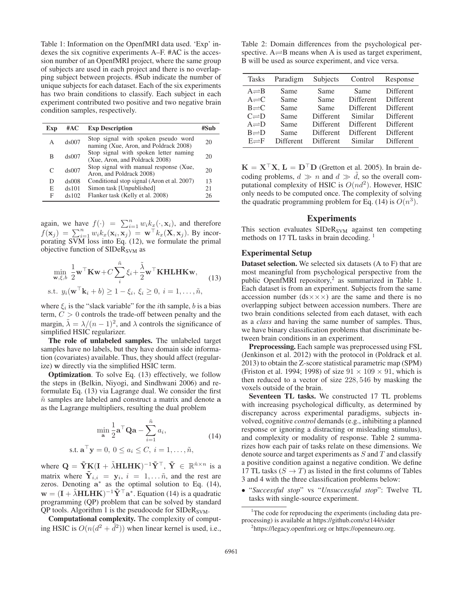Table 1: Information on the OpenfMRI data used. 'Exp' indexes the six cognitive experiments A–F. #AC is the accession number of an OpenfMRI project, where the same group of subjects are used in each project and there is no overlapping subject between projects. #Sub indicate the number of unique subjects for each dataset. Each of the six experiments has two brain conditions to classify. Each subject in each experiment contributed two positive and two negative brain condition samples, respectively.

| Exp       | #AC      | <b>Exp Description</b>                                                       |    |
|-----------|----------|------------------------------------------------------------------------------|----|
| А         | ds007    | Stop signal with spoken pseudo word<br>naming (Xue, Aron, and Poldrack 2008) | 20 |
| B         | ds007    | Stop signal with spoken letter naming<br>(Xue, Aron, and Poldrack 2008)      | 20 |
| $\subset$ | ds007    | Stop signal with manual response (Xue,<br>Aron, and Poldrack 2008)           | 20 |
| D         | $ds$ 008 | Conditional stop signal (Aron et al. 2007)                                   | 13 |
| E         | ds101    | Simon task [Unpublished]                                                     | 21 |
| F         | ds102    | Flanker task (Kelly et al. 2008)                                             | 26 |

again, we have  $f(\cdot) = \sum_{i=1}^{n} w_i k_x(\cdot, \mathbf{x}_i)$ , and therefore  $f(\mathbf{x}_j) = \sum_{i=1}^n w_i k_x(\mathbf{x}_i, \mathbf{x}_j) = \mathbf{w}^\top k_x(\mathbf{X}, \mathbf{x}_j)$ . By incor-<br>porating SVM loss into Eq. (12) we formulate the primal porating  $S\overline{VM}$  loss into Eq. (12), we formulate the primal objective function of  $SIDeR<sub>SVM</sub>$  as

$$
\min_{\mathbf{w}, \xi, b} \frac{1}{2} \mathbf{w}^\top \mathbf{K} \mathbf{w} + C \sum_{i}^{\tilde{n}} \xi_i + \frac{\tilde{\lambda}}{2} \mathbf{w}^\top \mathbf{K} \mathbf{H} \mathbf{L} \mathbf{H} \mathbf{K} \mathbf{w},
$$
\ns.t.  $y_i (\mathbf{w}^\top \mathbf{k}_i + b) \ge 1 - \xi_i, \xi_i \ge 0, i = 1, ..., \tilde{n},$  (13)

where  $\xi_i$  is the "slack variable" for the *i*th sample, *b* is a bias term,  $C > 0$  controls the trade-off between penalty and the margin,  $\tilde{\lambda} = \lambda/(n-1)^2$ , and  $\lambda$  controls the significance of simplified HSIC regularizer.

The role of unlabeled samples. The unlabeled target samples have no labels, but they have domain side information (covariates) available. Thus, they should affect (regularize) **w** directly via the simplified HSIC term.

Optimization. To solve Eq. (13) effectively, we follow the steps in (Belkin, Niyogi, and Sindhwani 2006) and reformulate Eq. (13) via Lagrange dual. We consider the first  $\tilde{n}$  samples are labeled and construct a matrix and denote  $a$ as the Lagrange multipliers, resulting the dual problem

$$
\min_{\mathbf{a}} \frac{1}{2} \mathbf{a}^{\top} \mathbf{Q} \mathbf{a} - \sum_{i=1}^{\tilde{n}} a_i,
$$
\n(14)

s.t. 
$$
\mathbf{a}^{\top} \mathbf{y} = 0, 0 \le a_i \le C, i = 1, ..., \tilde{n},
$$

where  $\mathbf{Q} = \tilde{\mathbf{Y}}\mathbf{K}(\mathbf{I} + \tilde{\lambda}\mathbf{H}\mathbf{L}\mathbf{H}\mathbf{K})^{-1}\tilde{\mathbf{Y}}^{\top}$ ,  $\tilde{\mathbf{Y}} \in \mathbb{R}^{\tilde{n} \times n}$  is a metrix where  $\tilde{\mathbf{Y}}_{k,n} = \mathbf{Y}_{k,n}$  is  $-1$  and the rest are matrix where  $\tilde{Y}_{i,i} = y_i$ ,  $i = 1,... \tilde{n}$ , and the rest are zeros. Denoting **a**<sup>∗</sup> as the optimal solution to Eq. (14),  $\mathbf{w} = (\mathbf{I} + \tilde{\lambda} \mathbf{H L H K})^{-1} \tilde{\mathbf{Y}}^{\top} \mathbf{a}^*$ . Equation (14) is a quadratic programming (OP) problem that can be solved by standard programming (QP) problem that can be solved by standard  $QP$  tools. Algorithm 1 is the pseudocode for SIDe $R_{\text{SVM}}$ .

Computational complexity. The complexity of computing HSIC is  $O(n(d^2 + \tilde{d}^2))$  when linear kernel is used, i.e.,

Table 2: Domain differences from the psychological perspective.  $A \rightleftharpoons B$  means when A is used as target experiment, B will be used as source experiment, and vice versa.

| <b>Tasks</b>                                                                                                                      | Paradigm                                     | Subjects                                                                  | Control                                                                    | Response                                                                          |
|-----------------------------------------------------------------------------------------------------------------------------------|----------------------------------------------|---------------------------------------------------------------------------|----------------------------------------------------------------------------|-----------------------------------------------------------------------------------|
| $A \rightleftharpoons B$<br>$A \rightleftharpoons C$<br>$B=$ C<br>$C \rightleftharpoons D$<br>$A \rightleftharpoons D$<br>$B = D$ | Same<br>Same<br>Same<br>Same<br>Same<br>Same | Same<br>Same<br>Same<br>Different<br><b>Different</b><br><b>Different</b> | Same<br>Different<br><b>Different</b><br>Similar<br>Different<br>Different | Different<br>Different<br><b>Different</b><br>Different<br>Different<br>Different |
| $E \rightleftharpoons F$                                                                                                          | <b>Different</b>                             | <b>Different</b>                                                          | Similar                                                                    | <b>Different</b>                                                                  |

 $\mathbf{K} = \mathbf{X}^{\top} \mathbf{X}$ ,  $\mathbf{L} = \mathbf{D}^{\top} \mathbf{D}$  (Gretton et al. 2005). In brain decoding problems  $d \gg n$  and  $d \gg \tilde{d}$  so the overall comcoding problems,  $d \gg n$  and  $d \gg \tilde{d}$ , so the overall com-<br>mutational complexity of USIC is  $O(n^{d^2})$ . However, USIC putational complexity of HSIC is  $O(nd^2)$ . However, HSIC only needs to be computed once. The complexity of solving the quadratic programming problem for Eq. (14) is  $O(n^3)$ .

## Experiments

This section evaluates  $SIDeR<sub>SVM</sub>$  against ten competing methods on 17 TL tasks in brain decoding.<sup>1</sup>

## Experimental Setup

Dataset selection. We selected six datasets (A to F) that are most meaningful from psychological perspective from the public OpenfMRI repository,<sup>2</sup> as summarized in Table 1. Each dataset is from an experiment. Subjects from the same accession number  $(ds \times \times \times)$  are the same and there is no overlapping subject between accession numbers. There are two brain conditions selected from each dataset, with each as a *class* and having the same number of samples. Thus, we have binary classification problems that discriminate between brain conditions in an experiment.

Preprocessing. Each sample was preprocessed using FSL (Jenkinson et al. 2012) with the protocol in (Poldrack et al. 2013) to obtain the Z-score statistical parametric map (SPM) (Friston et al. 1994; 1998) of size  $91 \times 109 \times 91$ , which is then reduced to a vector of size 228, 546 by masking the voxels outside of the brain.

Seventeen TL tasks. We constructed 17 TL problems with increasing psychological difficulty, as determined by discrepancy across experimental paradigms, subjects involved, cognitive *control* demands (e.g., inhibiting a planned response or ignoring a distracting or misleading stimulus), and complexity or modality of response. Table 2 summarizes how each pair of tasks relate on these dimensions. We denote source and target experiments as  $S$  and  $T$  and classify a positive condition against a negative condition. We define 17 TL tasks  $(S \to T)$  as listed in the first columns of Tables 3 and 4 with the three classification problems below:

• "*Successful stop*" vs "*Unsuccessful stop*": Twelve TL tasks with single-source experiment.

<sup>&</sup>lt;sup>1</sup>The code for reproducing the experiments (including data preprocessing) is available at https://github.com/sz144/sider

<sup>2</sup> https://legacy.openfmri.org or https://openneuro.org.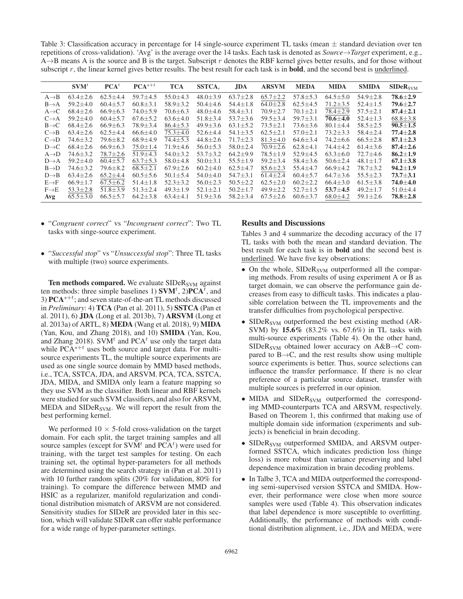Table 3: Classification accuracy in percentage for 14 single-source experiment TL tasks (mean  $\pm$  standard deviation over ten repetitions of cross-validation). 'Avg' is the average over the 14 tasks. Each task is denoted as *Source*→*Target* experiment, e.g.,  $A \rightarrow B$  means A is the source and B is the target. Subscript r denotes the RBF kernel gives better results, and for those without subscript r, the linear kernel gives better results. The best result for each task is in **bold**, and the second best is underlined.

|                   | SVM <sup>t</sup> | $\mathbf{PCA}^t$ | $PCA^{s+t}$    | <b>TCA</b>     | $SSTCA_r$      | <b>JDA</b>     | <b>ARSVM</b>   | <b>MEDA</b>    | <b>MIDA</b>    | <b>SMIDA</b>   | SIDeR <sub>SVM</sub> |
|-------------------|------------------|------------------|----------------|----------------|----------------|----------------|----------------|----------------|----------------|----------------|----------------------|
| $A \rightarrow B$ | $63.4 \pm 2.6$   | $62.5 \pm 4.4$   | $59.7 \pm 4.5$ | $55.0 \pm 4.3$ | $48.0 \pm 3.9$ | $63.7 \pm 2.8$ | $65.7 \pm 2.2$ | $57.8 \pm 5.3$ | $64.5 \pm 5.0$ | $54.9 \pm 2.8$ | $78.6 \pm 2.9$       |
| $B\rightarrow A$  | $59.2 \pm 4.0$   | $60.4 \pm 5.7$   | $60.8 \pm 3.1$ | $58.9 \pm 3.2$ | $50.4 \pm 4.6$ | $54.4 \pm 1.8$ | $64.0 \pm 2.8$ | $62.5 \pm 4.5$ | $71.2 \pm 3.5$ | $52.4 \pm 1.5$ | $79.6 \pm 2.7$       |
| $A \rightarrow C$ | $68.4 + 2.6$     | $66.9 \pm 6.3$   | $74.0 \pm 5.9$ | $70.6 \pm 6.3$ | $48.0 \pm 4.6$ | $58.4 \pm 3.1$ | $70.9 \pm 2.7$ | $70.1 \pm 2.1$ | 78.4±2.9       | $57.5 \pm 2.1$ | $87.4 \pm 2.1$       |
| $C\rightarrow A$  | $59.2 + 4.0$     | $60.4 \pm 5.7$   | $67.6 \pm 5.2$ | $63.6 \pm 4.0$ | $51.8 \pm 3.4$ | $53.7 \pm 3.6$ | $59.5 \pm 3.4$ | $59.7 \pm 3.1$ | $70.6 \pm 4.0$ | $52.4 + 1.3$   | $68.8 \pm 3.8$       |
| $B\rightarrow C$  | $68.4 \pm 2.6$   | $66.9 \pm 6.3$   | $78.9 \pm 3.4$ | $86.4 \pm 5.3$ | $49.9 \pm 3.6$ | $63.1 \pm 5.2$ | $73.5 \pm 2.1$ | $73.6 \pm 3.6$ | $80.1 \pm 4.4$ | $58.5 \pm 2.5$ | $90.5 \pm 1.5$       |
| $C \rightarrow B$ | $63.4 \pm 2.6$   | $62.5 \pm 4.4$   | $66.6 \pm 4.0$ | $75.3 \pm 4.0$ | $52.6 \pm 4.4$ | $54.1 + 3.5$   | $62.5 \pm 2.1$ | $57.0 \pm 2.1$ | $73.2 + 3.3$   | $58.4 \pm 2.4$ | $77.4 \pm 2.8$       |
| $C\rightarrow D$  | $74.6 \pm 3.2$   | $79.6 \pm 8.2$   | $68.9 \pm 4.9$ | $74.4 \pm 5.3$ | $44.8 \pm 2.6$ | $71.7 \pm 2.3$ | $81.3 \pm 4.0$ | $64.6 \pm 3.4$ | $74.2 + 6.6$   | $66.5 \pm 2.8$ | $87.1 \pm 2.3$       |
| $D\rightarrow C$  | $68.4 \pm 2.6$   | $66.9 \pm 6.3$   | $75.0 \pm 1.4$ | $71.9 \pm 4.6$ | $56.0 \pm 5.3$ | $58.0 \pm 2.4$ | $70.9 \pm 2.6$ | $62.8 \pm 4.1$ | 74.4±4.2       | $61.4 \pm 3.6$ | $87.4 \pm 2.6$       |
| $A\rightarrow D$  | $74.6 \pm 3.2$   | $78.7 \pm 2.6$   | $51.9 \pm 4.3$ | $54.0 \pm 3.2$ | $53.7 \pm 3.2$ | $64.2 \pm 9.9$ | $78.5 \pm 1.9$ | $52.9 \pm 4.5$ | $63.3 \pm 6.0$ | $72.7 \pm 4.6$ | $86.2 \pm 1.9$       |
| $D\rightarrow A$  | $59.2 + 4.0$     | $60.4 \pm 5.7$   | $63.7 \pm 5.3$ | $58.0 \pm 4.8$ | $50.0 \pm 3.1$ | $55.5 \pm 1.9$ | $59.2 \pm 3.4$ | $58.4 \pm 3.6$ | $50.6 \pm 2.4$ | $48.1 \pm 1.7$ | $67.1 \pm 3.8$       |
| $B\rightarrow D$  | $74.6 \pm 3.2$   | $79.6 \pm 8.2$   | $68.5 \pm 2.1$ | $67.9 \pm 2.6$ | $60.2 + 4.0$   | $62.5 \pm 4.7$ | $85.6 \pm 2.3$ | $55.4 \pm 4.7$ | $66.9 \pm 4.2$ | $78.7 + 3.2$   | $94.2 \pm 1.9$       |
| $D \rightarrow B$ | $63.4 \pm 2.6$   | $65.2 \pm 4.4$   | $60.5 \pm 5.6$ | $50.1 \pm 5.4$ | $54.0 \pm 4.0$ | $54.7 \pm 3.1$ | $61.4 \pm 2.4$ | $60.4 \pm 5.7$ | $64.7 \pm 3.6$ | $55.5 \pm 2.3$ | $73.7 + 3.1$         |
| $E \rightarrow F$ | $66.9 \pm 1.7$   | $67.5 \pm 6.2$   | $51.4 \pm 1.8$ | $52.3 \pm 3.2$ | $56.0 \pm 2.3$ | $50.5 \pm 2.2$ | $62.5 \pm 2.0$ | $60.2 \pm 2.2$ | $66.4 + 3.0$   | $61.5 + 3.8$   | $74.0 \pm 4.0$       |
| $F\rightarrow E$  | $53.3 \pm 2.8$   | $51.8 \pm 3.9$   | $51.3 \pm 2.4$ | $49.3 \pm 1.9$ | $52.1 \pm 2.1$ | $50.2 \pm 1.7$ | $49.9 \pm 2.2$ | $52.7 \pm 1.5$ | $53.7 + 4.5$   | $49.2 + 1.7$   | $51.0 \pm 4.4$       |
| Avg               | $65.5 \pm 3.0$   | $66.5 \pm 5.7$   | $64.2 \pm 3.8$ | $63.4 \pm 4.1$ | $51.9 \pm 3.6$ | $58.2 \pm 3.4$ | $67.5 \pm 2.6$ | $60.6 \pm 3.7$ | $68.0 \pm 4.2$ | $59.1 \pm 2.6$ | $78.8 \pm 2.8$       |

- "*Congruent correct*" vs "*Incongruent correct*": Two TL tasks with singe-source experiment.
- "*Successful stop*" vs "*Unsuccessful stop*": Three TL tasks with multiple (two) source experiments.

Ten methods compared. We evaluate  $SIDeR<sub>SVM</sub>$  against ten methods: three simple baselines 1)  $\text{SVM}^t$ , 2) $\text{PCA}^t$ , and 3)  $\text{PCA}^{s+t}$ ; and seven state-of-the-art TL methods discussed in *Preliminary*: 4) TCA (Pan et al. 2011), 5) SSTCA (Pan et al. 2011), 6) JDA (Long et al. 2013b), 7) ARSVM (Long et al. 2013a) of ARTL, 8) MEDA (Wang et al. 2018), 9) MIDA (Yan, Kou, and Zhang 2018), and 10) SMIDA (Yan, Kou, and Zhang 2018). SVM<sup>t</sup> and PCA<sup>t</sup> use only the target data while  $PCA^{s+t}$  uses both source and target data. For multisource experiments TL, the multiple source experiments are used as one single source domain by MMD based methods, i.e., TCA, SSTCA, JDA, and ARSVM. PCA, TCA, SSTCA, JDA, MIDA, and SMIDA only learn a feature mapping so they use SVM as the classifier. Both linear and RBF kernels were studied for such SVM classifiers, and also for ARSVM, MEDA and  $SIDeR<sub>SVM</sub>$ . We will report the result from the best performing kernel.

We performed  $10 \times 5$ -fold cross-validation on the target domain. For each split, the target training samples and all source samples (except for SVM<sup>t</sup> and PCA<sup>t</sup>) were used for training, with the target test samples for testing. On each training set, the optimal hyper-parameters for all methods are determined using the search strategy in (Pan et al. 2011) with 10 further random splits (20% for validation, 80% for training). To compare the difference between MMD and HSIC as a regularizer, manifold regularization and conditional distribution mismatch of ARSVM are not considered. Sensitivity studies for SIDeR are provided later in this section, which will validate SIDeR can offer stable performance for a wide range of hyper-parameter settings.

## Results and Discussions

Tables 3 and 4 summarize the decoding accuracy of the 17 TL tasks with both the mean and standard deviation. The best result for each task is in bold and the second best is underlined. We have five key observations:

- On the whole,  $SIDeR<sub>SVM</sub>$  outperformed all the comparing methods. From results of using experiment A or B as target domain, we can observe the performance gain decreases from easy to difficult tasks. This indicates a plausible correlation between the TL improvements and the transfer difficulties from psychological perspective.
- SIDeR<sub>SVM</sub> outperformed the best existing method (AR-SVM) by 15.6% (83.2% vs. 67.6%) in TL tasks with multi-source experiments (Table 4). On the other hand,  $SIDER<sub>SVM</sub> obtained lower accuracy on A&B\rightarrow C com$ pared to  $B \rightarrow C$ , and the rest results show using multiple source experiments is better. Thus, source selections can influence the transfer performance. If there is no clear preference of a particular source dataset, transfer with multiple sources is preferred in our opinion.
- MIDA and SIDeR<sub>SVM</sub> outperformed the corresponding MMD-counterparts TCA and ARSVM, respectively. Based on Theorem 1, this confirmed that making use of multiple domain side information (experiments and subjects) is beneficial in brain decoding.
- SIDeR<sub>SVM</sub> outperformed SMIDA, and ARSVM outperformed SSTCA, which indicates prediction loss (hinge loss) is more robust than variance preserving and label dependence maximization in brain decoding problems.
- In Talbe 3, TCA and MIDA outperformed the corresponding semi-supervised version SSTCA and SMIDA. However, their performance were close when more source samples were used (Table 4). This observation indicates that label dependence is more susceptible to overfitting. Additionally, the performance of methods with conditional distribution alignment, i.e., JDA and MEDA, were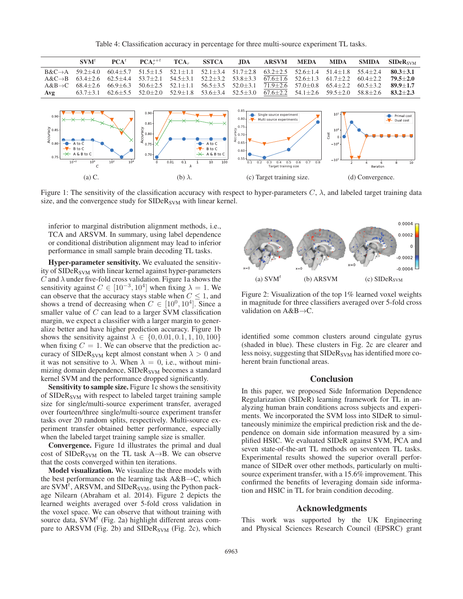Table 4: Classification accuracy in percentage for three multi-source experiment TL tasks.



Figure 1: The sensitivity of the classification accuracy with respect to hyper-parameters  $C$ ,  $\lambda$ , and labeled target training data size, and the convergence study for  $SIDeR<sub>SVM</sub>$  with linear kernel.

inferior to marginal distribution alignment methods, i.e., TCA and ARSVM. In summary, using label dependence or conditional distribution alignment may lead to inferior performance in small sample brain decoding TL tasks.

Hyper-parameter sensitivity. We evaluated the sensitivity of  $SIDeR<sub>SVM</sub>$  with linear kernel against hyper-parameters C and  $\lambda$  under five-fold cross validation. Figure 1a shows the sensitivity against  $C \in [10^{-3}, 10^{4}]$  when fixing  $\lambda = 1$ . We can observe that the accuracy stays stable when  $C \leq 1$ , and shows a trend of decreasing when  $C \in [10^0, 10^4]$ . Since a smaller value of C can lead to a larger SVM classification margin, we expect a classifier with a larger margin to generalize better and have higher prediction accuracy. Figure 1b shows the sensitivity against  $\lambda \in \{0, 0.01, 0.1, 1, 10, 100\}$ when fixing  $C = 1$ . We can observe that the prediction accuracy of SIDeR<sub>SVM</sub> kept almost constant when  $\lambda > 0$  and it was not sensitive to  $\lambda$ . When  $\lambda = 0$ , i.e., without minimizing domain dependence,  $SIDeR<sub>SVM</sub>$  becomes a standard kernel SVM and the performance dropped significantly.

Sensitivity to sample size. Figure 1c shows the sensitivity of SIDeR<sub>SVM</sub> with respect to labeled target training sample size for single/multi-source experiment transfer, averaged over fourteen/three single/multi-source experiment transfer tasks over 20 random splits, respectively. Multi-source experiment transfer obtained better performance, especially when the labeled target training sample size is smaller.

Convergence. Figure 1d illustrates the primal and dual cost of SIDeR<sub>SVM</sub> on the TL task A $\rightarrow$ B. We can observe that the costs converged within ten iterations.

Model visualization. We visualize the three models with the best performance on the learning task  $A&B\rightarrow C$ , which are  $\text{SVM}^t$ , ARSVM, and  $\text{SIDER}_{\text{SVM}}$ , using the Python package Nilearn (Abraham et al. 2014). Figure 2 depicts the learned weights averaged over 5-fold cross validation in the voxel space. We can observe that without training with source data, SVM $<sup>t</sup>$  (Fig. 2a) highlight different areas com-</sup> pare to ARSVM (Fig. 2b) and  $SIDeR<sub>SVM</sub>$  (Fig. 2c), which



Figure 2: Visualization of the top 1% learned voxel weights in magnitude for three classifiers averaged over 5-fold cross validation on A&B→C.

identified some common clusters around cingulate gyrus (shaded in blue). These clusters in Fig. 2c are clearer and less noisy, suggesting that SIDeR<sub>SVM</sub> has identified more coherent brain functional areas.

#### **Conclusion**

In this paper, we proposed Side Information Dependence Regularization (SIDeR) learning framework for TL in analyzing human brain conditions across subjects and experiments. We incorporated the SVM loss into SIDeR to simultaneously minimize the empirical prediction risk and the dependence on domain side information measured by a simplified HSIC. We evaluated SIDeR against SVM, PCA and seven state-of-the-art TL methods on seventeen TL tasks. Experimental results showed the superior overall performance of SIDeR over other methods, particularly on multisource experiment transfer, with a 15.6% improvement. This confirmed the benefits of leveraging domain side information and HSIC in TL for brain condition decoding.

## Acknowledgments

This work was supported by the UK Engineering and Physical Sciences Research Council (EPSRC) grant